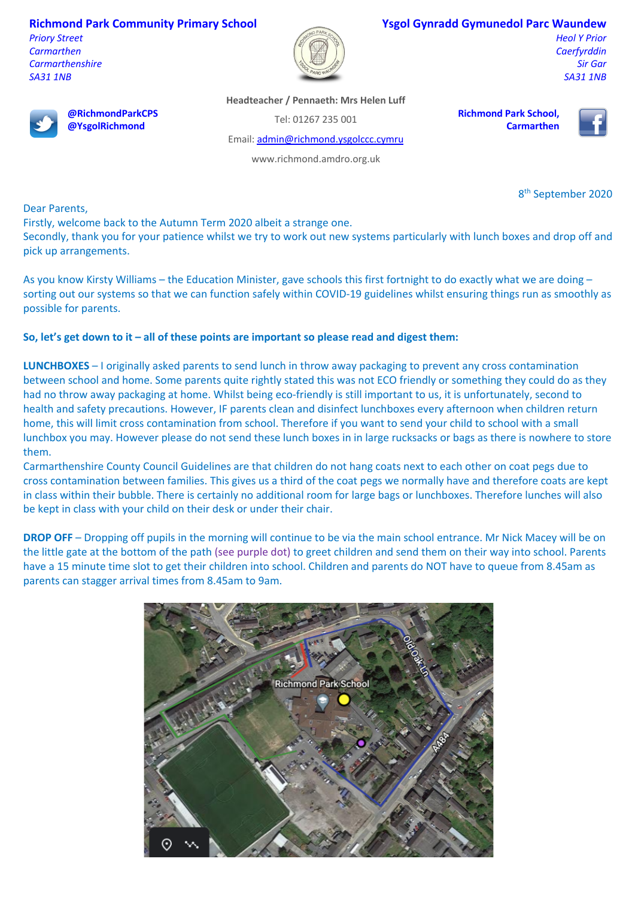**Richmond Park Community Primary School**

**@RichmondParkCPS @YsgolRichmond**

*Priory Street Carmarthen Carmarthenshire SA31 1NB*



## **Ysgol Gynradd Gymunedol Parc Waundew**

*Heol Y Prior Caerfyrddin Sir Gar SA31 1NB*



Tel: 01267 235 001

**Richmond Park School, Carmarthen**

Email: admin@richmond.ysgolccc.cymru

www.richmond.amdro.org.uk

8th September 2020

Dear Parents,

Firstly, welcome back to the Autumn Term 2020 albeit a strange one.

Secondly, thank you for your patience whilst we try to work out new systems particularly with lunch boxes and drop off and pick up arrangements.

As you know Kirsty Williams – the Education Minister, gave schools this first fortnight to do exactly what we are doing – sorting out our systems so that we can function safely within COVID-19 guidelines whilst ensuring things run as smoothly as possible for parents.

## **So, let's get down to it – all of these points are important so please read and digest them:**

**LUNCHBOXES** – I originally asked parents to send lunch in throw away packaging to prevent any cross contamination between school and home. Some parents quite rightly stated this was not ECO friendly or something they could do as they had no throw away packaging at home. Whilst being eco-friendly is still important to us, it is unfortunately, second to health and safety precautions. However, IF parents clean and disinfect lunchboxes every afternoon when children return home, this will limit cross contamination from school. Therefore if you want to send your child to school with a small lunchbox you may. However please do not send these lunch boxes in in large rucksacks or bags as there is nowhere to store them.

Carmarthenshire County Council Guidelines are that children do not hang coats next to each other on coat pegs due to cross contamination between families. This gives us a third of the coat pegs we normally have and therefore coats are kept in class within their bubble. There is certainly no additional room for large bags or lunchboxes. Therefore lunches will also be kept in class with your child on their desk or under their chair.

**DROP OFF** – Dropping off pupils in the morning will continue to be via the main school entrance. Mr Nick Macey will be on the little gate at the bottom of the path (see purple dot) to greet children and send them on their way into school. Parents have a 15 minute time slot to get their children into school. Children and parents do NOT have to queue from 8.45am as parents can stagger arrival times from 8.45am to 9am.